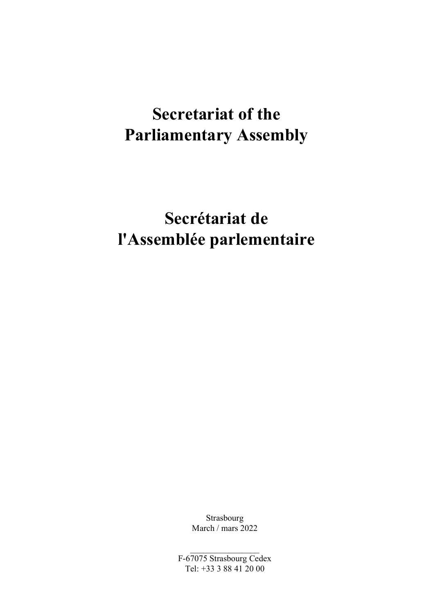# Secretariat of the Parliamentary Assembly

# Secrétariat de l'Assemblée parlementaire

Strasbourg March / mars 2022

F-67075 Strasbourg Cedex Tel: +33 3 88 41 20 00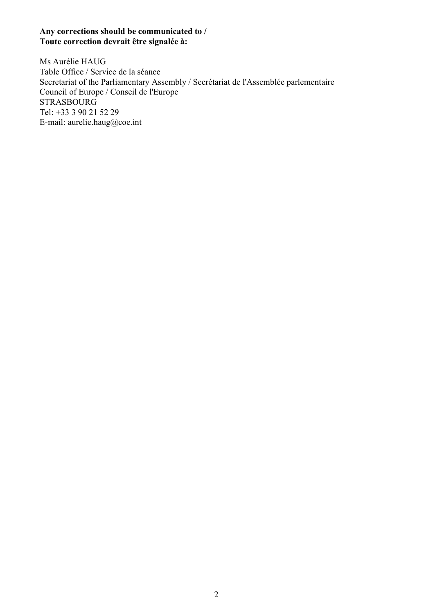#### Any corrections should be communicated to / Toute correction devrait être signalée à:

Ms Aurélie HAUG Table Office / Service de la séance Secretariat of the Parliamentary Assembly / Secrétariat de l'Assemblée parlementaire Council of Europe / Conseil de l'Europe STRASBOURG Tel: +33 3 90 21 52 29 E-mail: aurelie.haug@coe.int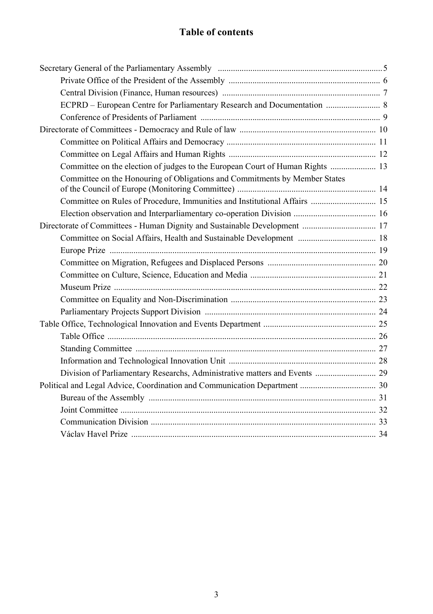### Table of contents

| ECPRD - European Centre for Parliamentary Research and Documentation  8       |
|-------------------------------------------------------------------------------|
|                                                                               |
|                                                                               |
|                                                                               |
|                                                                               |
| Committee on the election of judges to the European Court of Human Rights  13 |
| Committee on the Honouring of Obligations and Commitments by Member States    |
| Committee on Rules of Procedure, Immunities and Institutional Affairs  15     |
|                                                                               |
|                                                                               |
|                                                                               |
|                                                                               |
|                                                                               |
|                                                                               |
|                                                                               |
|                                                                               |
|                                                                               |
|                                                                               |
|                                                                               |
|                                                                               |
|                                                                               |
| Division of Parliamentary Researchs, Administrative matters and Events  29    |
|                                                                               |
|                                                                               |
|                                                                               |
|                                                                               |
|                                                                               |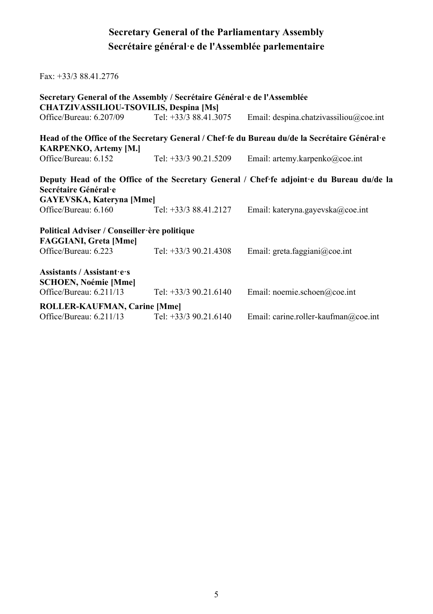# Secretary General of the Parliamentary Assembly Secrétaire général·e de l'Assemblée parlementaire

| $Fax: +33/388.41.2776$                                                                                            |                         |                                                                                               |
|-------------------------------------------------------------------------------------------------------------------|-------------------------|-----------------------------------------------------------------------------------------------|
| Secretary General of the Assembly / Secrétaire Général e de l'Assemblée<br>CHATZIVASSILIOU-TSOVILIS, Despina [Ms] |                         |                                                                                               |
| Office/Bureau: 6.207/09                                                                                           | Tel: $+33/388.41.3075$  | Email: despina.chatzivassiliou@coe.int                                                        |
| <b>KARPENKO, Artemy [M.]</b>                                                                                      |                         | Head of the Office of the Secretary General / Chef fe du Bureau du/de la Secrétaire Général e |
| Office/Bureau: 6.152                                                                                              | Tel: $+33/3$ 90.21.5209 | Email: artemy.karpenko@coe.int                                                                |
| Secrétaire Général·e<br><b>GAYEVSKA, Kateryna [Mme]</b>                                                           |                         | Deputy Head of the Office of the Secretary General / Chef fe adjoint e du Bureau du/de la     |
| Office/Bureau: 6.160                                                                                              | Tel: +33/3 88.41.2127   | Email: kateryna.gayevska@coe.int                                                              |
| Political Adviser / Conseiller ère politique<br><b>FAGGIANI, Greta [Mme]</b><br>Office/Bureau: 6.223              | Tel: $+33/3$ 90.21.4308 | Email: greta.faggiani@coe.int                                                                 |
| Assistants / Assistant es<br><b>SCHOEN, Noémie [Mme]</b><br>Office/Bureau: $6.211/13$                             | Tel: $+33/3$ 90.21.6140 | Email: noemie.schoen@coe.int                                                                  |
| ROLLER-KAUFMAN, Carine [Mme]<br>Office/Bureau: 6.211/13                                                           | Tel: $+33/3$ 90.21.6140 | Email: carine.roller-kaufman@coe.int                                                          |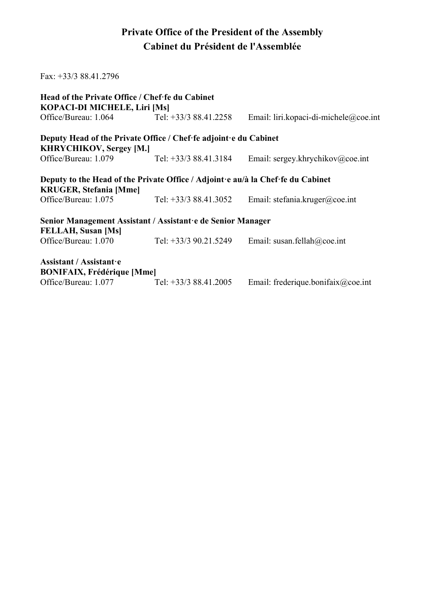### Private Office of the President of the Assembly Cabinet du Président de l'Assemblée

| Fax: $+33/388.41.2796$                                                                                           |                        |                                       |
|------------------------------------------------------------------------------------------------------------------|------------------------|---------------------------------------|
| Head of the Private Office / Chef fe du Cabinet<br>KOPACI-DI MICHELE, Liri [Ms]                                  |                        |                                       |
| Office/Bureau: 1.064                                                                                             | Tel: $+33/388.41.2258$ | Email: liri.kopaci-di-michele@coe.int |
| Deputy Head of the Private Office / Chef fe adjoint e du Cabinet                                                 |                        |                                       |
| <b>KHRYCHIKOV, Sergey [M.]</b>                                                                                   |                        |                                       |
| Office/Bureau: 1.079                                                                                             | Tel: $+33/388.41.3184$ | Email: sergey.khrychikov@coe.int      |
| Deputy to the Head of the Private Office / Adjoint e au/à la Chef fe du Cabinet<br><b>KRUGER, Stefania [Mme]</b> |                        |                                       |
| Office/Bureau: 1.075                                                                                             | Tel: +33/3 88.41.3052  | Email: stefania.kruger@coe.int        |
| Senior Management Assistant / Assistant e de Senior Manager                                                      |                        |                                       |
| FELLAH, Susan [Ms]                                                                                               |                        |                                       |
| Office/Bureau: 1.070                                                                                             | Tel: +33/3 90.21.5249  | Email: susan.fellah@coe.int           |
| Assistant / Assistant e                                                                                          |                        |                                       |
| <b>BONIFAIX, Frédérique [Mme]</b>                                                                                |                        |                                       |
| Office/Bureau: 1.077                                                                                             | Tel: $+33/388.41.2005$ | Email: frederique.bonifaix@coe.int    |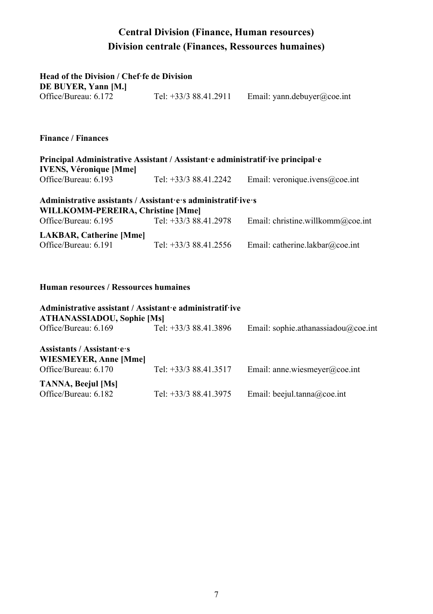#### Central Division (Finance, Human resources) Division centrale (Finances, Ressources humaines)

#### $H = \begin{bmatrix} 1 & 0 & 0 \\ 0 & 0 & 0 \\ 0 & 0 & 0 \end{bmatrix}$

| Head of the Division / Chef fe de Division                                     |                        |                                |
|--------------------------------------------------------------------------------|------------------------|--------------------------------|
| DE BUYER, Yann [M.]                                                            |                        |                                |
| Office/Bureau: 6.172                                                           | Tel: $+33/388.41.2911$ | Email: yann.debuyer@coe.int    |
|                                                                                |                        |                                |
| <b>Finance / Finances</b>                                                      |                        |                                |
| Principal Administrative Assistant / Assistant e administratif ive principal e |                        |                                |
| <b>IVENS, Véronique [Mme]</b>                                                  |                        |                                |
| Office/Bureau: 6.193                                                           | Tel: +33/3 88.41.2242  | Email: veronique.ivens@coe.int |
| Administrative assistants / Assistant es administratif ives                    |                        |                                |

#### WILLKOMM-PEREIRA, Christine [Mme]

| Office/Bureau: 6.195           | Tel: +33/3 88.41.2978  | Email: christine.willkomm@coe.int |
|--------------------------------|------------------------|-----------------------------------|
| <b>LAKBAR, Catherine [Mme]</b> |                        |                                   |
| Office/Bureau: 6.191           | Tel: $+33/388.41.2556$ | Email: catherine.lakbar@coe.int   |

#### Human resources / Ressources humaines

| Administrative assistant / Assistant e administratif ive<br><b>ATHANASSIADOU, Sophie [Ms]</b> |                       |                                     |  |
|-----------------------------------------------------------------------------------------------|-----------------------|-------------------------------------|--|
| Office/Bureau: 6.169                                                                          | Tel: +33/3 88.41.3896 | Email: sophie.athanassiadou@coe.int |  |
| Assistants / Assistant es<br>WIESMEYER, Anne [Mme]                                            |                       |                                     |  |
| Office/Bureau: 6.170                                                                          | Tel: +33/3 88.41.3517 | Email: anne.wiesmeyer@coe.int       |  |
| <b>TANNA, Beejul [Ms]</b><br>Office/Bureau: 6.182                                             | Tel: +33/3 88.41.3975 | Email: beejul.tanna@coe.int         |  |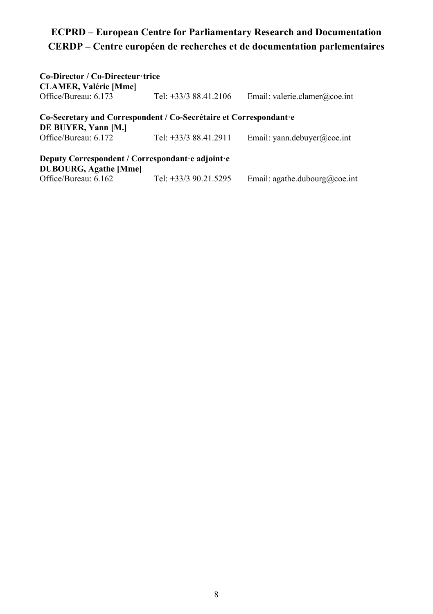# ECPRD – European Centre for Parliamentary Research and Documentation CERDP – Centre européen de recherches et de documentation parlementaires

| Co-Director / Co-Directeur·trice<br><b>CLAMER, Valérie [Mme]</b>                         |                        |                               |
|------------------------------------------------------------------------------------------|------------------------|-------------------------------|
| Office/Bureau: 6.173                                                                     | Tel: $+33/388.41.2106$ | Email: valerie.clamer@coe.int |
| Co-Secretary and Correspondent / Co-Secrétaire et Correspondant e<br>DE BUYER, Yann [M.] |                        |                               |
| Office/Bureau: 6.172                                                                     | Tel: +33/3 88.41.2911  | Email: yann.debuyer@coe.int   |
| Deputy Correspondent / Correspondant e adjoint e<br><b>DUBOURG, Agathe [Mme]</b>         |                        |                               |
| Office/Bureau: 6.162                                                                     | Tel: +33/3 90.21.5295  | Email: agathe.dubourg@coe.int |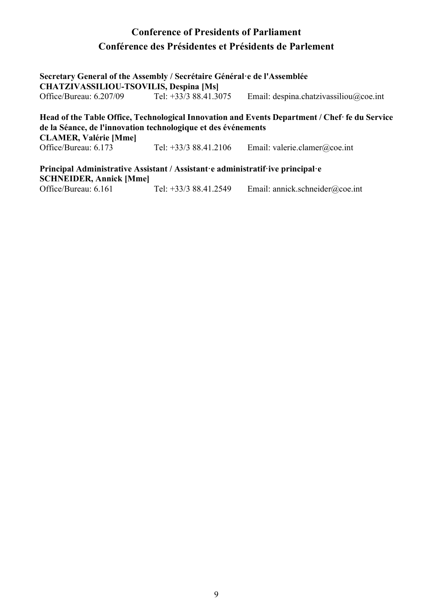#### Conference of Presidents of Parliament Conférence des Présidentes et Présidents de Parlement

| Secretary General of the Assembly / Secrétaire Général e de l'Assemblée<br><b>CHATZIVASSILIOU-TSOVILIS, Despina [Ms]</b> |                                                               |                                                                                                |  |
|--------------------------------------------------------------------------------------------------------------------------|---------------------------------------------------------------|------------------------------------------------------------------------------------------------|--|
| Office/Bureau: 6.207/09                                                                                                  | Tel: $+33/388.41.3075$                                        | Email: despina.chatzivassiliou@coe.int                                                         |  |
|                                                                                                                          | de la Séance, de l'innovation technologique et des événements | Head of the Table Office, Technological Innovation and Events Department / Chef· fe du Service |  |
| <b>CLAMER, Valérie [Mme]</b><br>Office/Bureau: 6.173                                                                     | Tel: $+33/388.41.2106$                                        | Email: valerie.clamer@coe.int                                                                  |  |

Principal Administrative Assistant / Assistant·e administratif·ive principal·e **SCHNEIDER, Annick [Mme]**<br>Office/Bureau: 6.161 Tel:  $+33/3$  88.41.2549 Email: annick.schneider@coe.int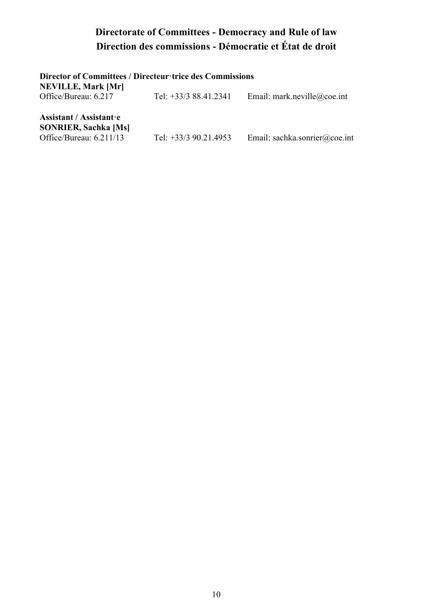# Directorate of Committees - Democracy and Rule of law Direction des commissions - Démocratie et État de droit

| Director of Committees / Directeur trice des Commissions<br>NEVILLE, Mark [Mr]    |                         |                               |
|-----------------------------------------------------------------------------------|-------------------------|-------------------------------|
| Office/Bureau: 6.217                                                              | Tel: +33/3 88.41.2341   | Email: mark.neville@coe.int   |
| Assistant / Assistant e<br><b>SONRIER, Sachka [Ms]</b><br>Office/Bureau: 6.211/13 | Tel: $+33/3$ 90.21.4953 | Email: sachka.sonrier@coe.int |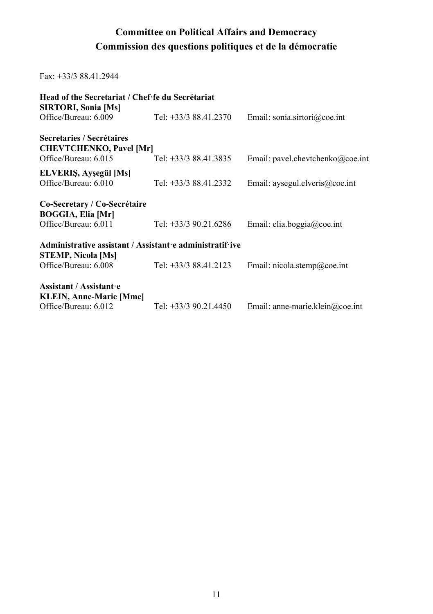#### Committee on Political Affairs and Democracy Commission des questions politiques et de la démocratie

Fax: +33/3 88.41.2944

| Head of the Secretariat / Chef fe du Secrétariat<br>SIRTORI, Sonia [Ms]               |                       |                                  |
|---------------------------------------------------------------------------------------|-----------------------|----------------------------------|
| Office/Bureau: 6.009                                                                  | Tel: +33/3 88.41.2370 | Email: sonia.sirtori@coe.int     |
| Secretaries / Secrétaires<br><b>CHEVTCHENKO, Pavel [Mr]</b>                           |                       |                                  |
| Office/Bureau: 6.015                                                                  | Tel: +33/3 88.41.3835 | Email: pavel.chevtchenko@coe.int |
| ELVERIS, Ayşegül [Ms]<br>Office/Bureau: 6.010                                         | Tel: +33/3 88.41.2332 | Email: aysegul.elveris@coe.int   |
| Co-Secretary / Co-Secrétaire<br><b>BOGGIA, Elia [Mr]</b>                              |                       |                                  |
| Office/Bureau: 6.011                                                                  | Tel: +33/3 90.21.6286 | Email: elia.boggia@coe.int       |
| Administrative assistant / Assistant e administratif ive<br><b>STEMP, Nicola [Ms]</b> |                       |                                  |
| Office/Bureau: 6.008                                                                  | Tel: +33/3 88.41.2123 | Email: nicola.stemp@coe.int      |
| Assistant / Assistant e<br><b>KLEIN, Anne-Marie [Mme]</b>                             |                       |                                  |
| Office/Bureau: 6.012                                                                  | Tel: +33/3 90.21.4450 | Email: anne-marie.klein@coe.int  |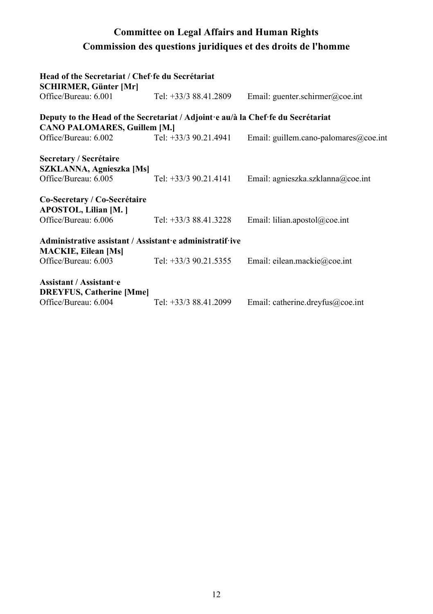# Committee on Legal Affairs and Human Rights Commission des questions juridiques et des droits de l'homme

| Head of the Secretariat / Chef·fe du Secrétariat<br><b>SCHIRMER, Günter [Mr]</b> |                         |                                       |
|----------------------------------------------------------------------------------|-------------------------|---------------------------------------|
| Office/Bureau: 6.001                                                             | Tel: $+33/388.41.2809$  | Email: guenter.schirmer@coe.int       |
| Deputy to the Head of the Secretariat / Adjoint e au/à la Chef fe du Secrétariat |                         |                                       |
| <b>CANO PALOMARES, Guillem [M.]</b>                                              |                         |                                       |
| Office/Bureau: 6.002                                                             | Tel: $+33/3$ 90.21.4941 | Email: guillem.cano-palomares@coe.int |
| Secretary / Secrétaire                                                           |                         |                                       |
| SZKLANNA, Agnieszka [Ms]                                                         |                         |                                       |
| Office/Bureau: 6.005                                                             | Tel: $+33/3$ 90.21.4141 | Email: agnieszka.szklanna@coe.int     |
| Co-Secretary / Co-Secrétaire<br>APOSTOL, Lilian [M.]                             |                         |                                       |
| Office/Bureau: 6.006                                                             | Tel: +33/3 88.41.3228   | Email: lilian.apostol@coe.int         |
| Administrative assistant / Assistant e administratif ive                         |                         |                                       |
| <b>MACKIE, Eilean [Ms]</b>                                                       |                         |                                       |
| Office/Bureau: 6.003                                                             | Tel: +33/3 90.21.5355   | Email: eilean.mackie@coe.int          |
| Assistant / Assistant.e<br><b>DREYFUS, Catherine [Mme]</b>                       |                         |                                       |
| Office/Bureau: 6.004                                                             | Tel: +33/3 88.41.2099   | Email: catherine.dreyfus@coe.int      |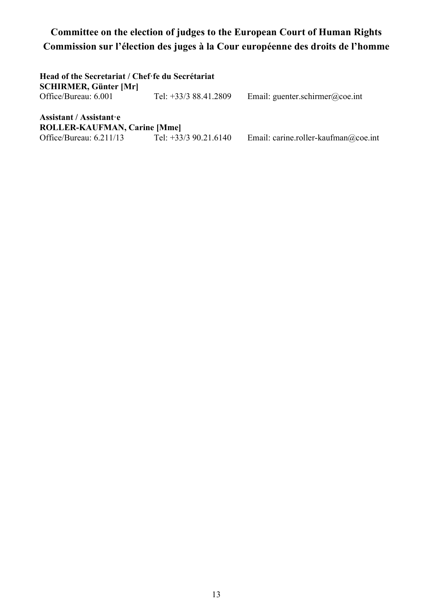# Committee on the election of judges to the European Court of Human Rights Commission sur l'élection des juges à la Cour européenne des droits de l'homme

| Head of the Secretariat / Chef fe du Secrétariat<br><b>SCHIRMER, Günter [Mr]</b> |                         |                                      |
|----------------------------------------------------------------------------------|-------------------------|--------------------------------------|
| Office/Bureau: 6.001                                                             | Tel: +33/3 88.41.2809   | Email: guenter.schirmer@coe.int      |
| Assistant / Assistant e                                                          |                         |                                      |
| ROLLER-KAUFMAN, Carine [Mme]                                                     |                         |                                      |
| Office/Bureau: 6.211/13                                                          | Tel: $+33/3$ 90.21.6140 | Email: carine.roller-kaufman@coe.int |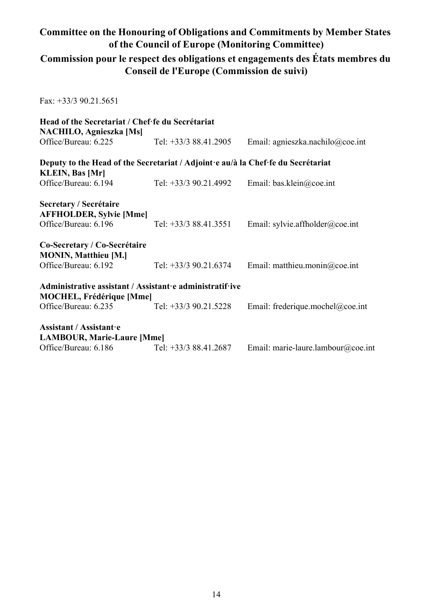#### Committee on the Honouring of Obligations and Commitments by Member States of the Council of Europe (Monitoring Committee)

#### Commission pour le respect des obligations et engagements des États membres du Conseil de l'Europe (Commission de suivi)

Fax: +33/3 90.21.5651

| Head of the Secretariat / Chef·fe du Secrétariat<br><b>NACHILO, Agnieszka [Ms]</b>                                  |                         |                                    |
|---------------------------------------------------------------------------------------------------------------------|-------------------------|------------------------------------|
| Office/Bureau: 6.225                                                                                                | Tel: $+33/388.41.2905$  | Email: agnieszka.nachilo@coe.int   |
| Deputy to the Head of the Secretariat / Adjoint e au/à la Chef fe du Secrétariat<br><b>KLEIN, Bas [Mr]</b>          |                         |                                    |
| Office/Bureau: 6.194                                                                                                | Tel: $+33/3$ 90.21.4992 | Email: bas.klein@coe.int           |
| Secretary / Secrétaire<br><b>AFFHOLDER, Sylvie [Mme]</b><br>Office/Bureau: 6.196<br>Co-Secretary / Co-Secrétaire    | Tel: +33/3 88.41.3551   | Email: sylvie.affholder@coe.int    |
| <b>MONIN, Matthieu [M.]</b><br>Office/Bureau: 6.192                                                                 | Tel: $+33/3$ 90.21.6374 | Email: matthieu.monin@coe.int      |
| Administrative assistant / Assistant e administratif ive<br><b>MOCHEL, Frédérique [Mme]</b><br>Office/Bureau: 6.235 | Tel: $+33/3$ 90.21.5228 | Email: frederique.mochel@coe.int   |
| Assistant / Assistant e<br><b>LAMBOUR, Marie-Laure [Mme]</b><br>Office/Bureau: 6.186                                | Tel: +33/3 88.41.2687   | Email: marie-laure.lambour@coe.int |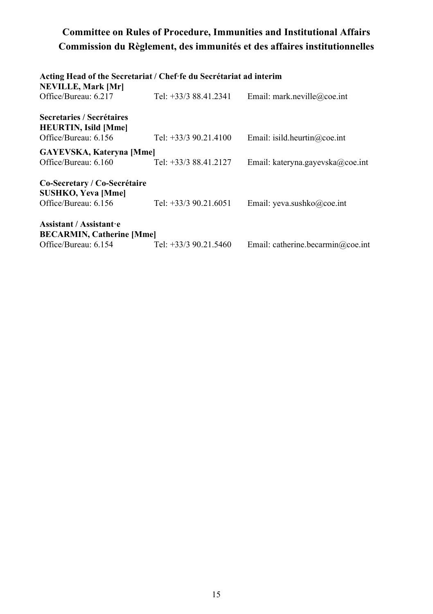### Committee on Rules of Procedure, Immunities and Institutional Affairs Commission du Règlement, des immunités et des affaires institutionnelles

| Acting Head of the Secretariat / Chef fe du Secrétariat ad interim               |                         |                                   |
|----------------------------------------------------------------------------------|-------------------------|-----------------------------------|
| <b>NEVILLE, Mark [Mr]</b><br>Office/Bureau: 6.217                                | Tel: +33/3 88.41.2341   | Email: mark.neville@coe.int       |
| Secretaries / Secrétaires<br><b>HEURTIN, Isild [Mme]</b><br>Office/Bureau: 6.156 | Tel: $+33/3$ 90.21.4100 | Email: isild.heurtin@coe.int      |
| <b>GAYEVSKA, Kateryna [Mme]</b>                                                  |                         |                                   |
| Office/Bureau: 6.160                                                             | Tel: +33/3 88.41.2127   | Email: kateryna.gayevska@coe.int  |
| Co-Secretary / Co-Secrétaire<br><b>SUSHKO, Yeva [Mme]</b>                        |                         |                                   |
| Office/Bureau: 6.156                                                             | Tel: +33/3 90.21.6051   | Email: yeva.sushko@coe.int        |
| Assistant / Assistant e<br><b>BECARMIN, Catherine [Mme]</b>                      |                         |                                   |
| Office/Bureau: 6.154                                                             | Tel: $+33/3$ 90.21.5460 | Email: catherine.becarmin@coe.int |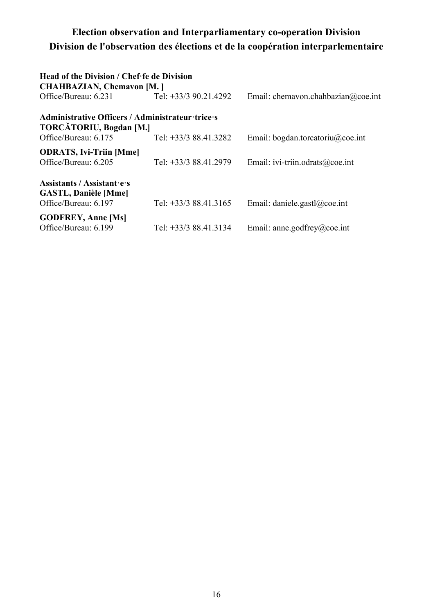#### Election observation and Interparliamentary co-operation Division Division de l'observation des élections et de la coopération interparlementaire

| Head of the Division / Chef fe de Division<br><b>CHAHBAZIAN, Chemavon [M. ]</b>    |                         |                                    |
|------------------------------------------------------------------------------------|-------------------------|------------------------------------|
| Office/Bureau: 6.231                                                               | Tel: $+33/3$ 90.21.4292 | Email: chemavon.chahbazian@coe.int |
| Administrative Officers / Administrateur trice s<br><b>TORCĂTORIU, Bogdan [M.]</b> |                         |                                    |
| Office/Bureau: 6.175                                                               | Tel: +33/3 88.41.3282   | Email: bogdan.torcatoriu@coe.int   |
| <b>ODRATS, Ivi-Triin [Mme]</b><br>Office/Bureau: 6.205                             | Tel: +33/3 88.41.2979   | Email: ivi-triin.odrats@coe.int    |
| Assistants / Assistant es<br><b>GASTL, Danièle [Mme]</b><br>Office/Bureau: 6.197   | Tel: $+33/388.41.3165$  | Email: daniele.gastl $@$ coe.int   |
| <b>GODFREY, Anne [Ms]</b><br>Office/Bureau: 6.199                                  | Tel: $+33/388.41.3134$  | Email: anne.godfrey@coe.int        |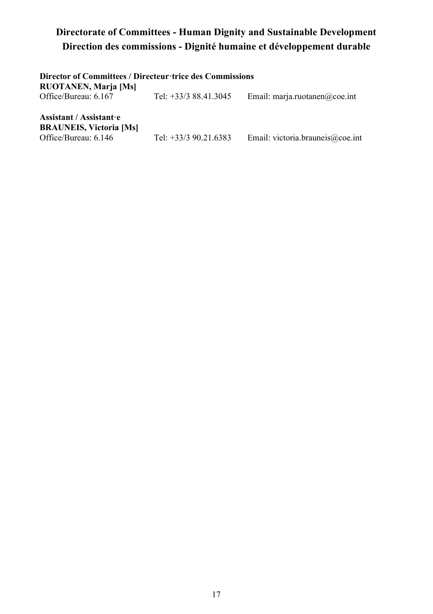### Directorate of Committees - Human Dignity and Sustainable Development Direction des commissions - Dignité humaine et développement durable

| Director of Committees / Directeur trice des Commissions<br>RUOTANEN, Maria [Ms]    |                       |                                  |
|-------------------------------------------------------------------------------------|-----------------------|----------------------------------|
| Office/Bureau: 6.167                                                                | Tel: +33/3 88.41.3045 | Email: marja.ruotanen@coe.int    |
| Assistant / Assistant · e<br><b>BRAUNEIS, Victoria [Ms]</b><br>Office/Bureau: 6.146 | Tel: +33/3 90.21.6383 | Email: victoria.brauneis@coe.int |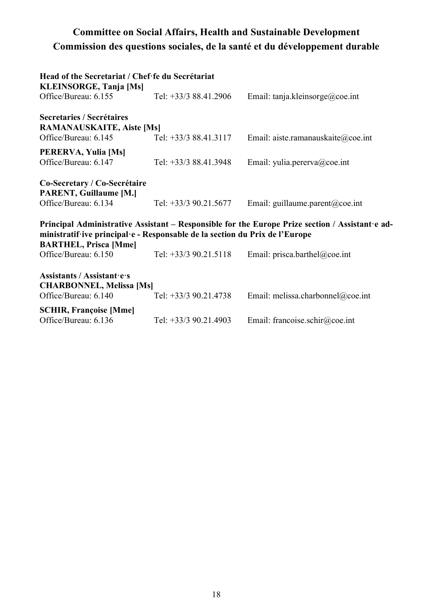#### Committee on Social Affairs, Health and Sustainable Development Commission des questions sociales, de la santé et du développement durable

| Head of the Secretariat / Chef fe du Secrétariat                                                                                                                                                               |                         |                                    |  |
|----------------------------------------------------------------------------------------------------------------------------------------------------------------------------------------------------------------|-------------------------|------------------------------------|--|
| <b>KLEINSORGE, Tanja [Ms]</b><br>Office/Bureau: 6.155                                                                                                                                                          | Tel: $+33/388.41.2906$  | Email: tanja.kleinsorge@coe.int    |  |
| Secretaries / Secrétaires<br><b>RAMANAUSKAITE, Aiste [Ms]</b>                                                                                                                                                  |                         |                                    |  |
| Office/Bureau: 6.145                                                                                                                                                                                           | Tel: +33/3 88.41.3117   | Email: aiste.ramanauskaite@coe.int |  |
| PERERVA, Yulia [Ms]<br>Office/Bureau: 6.147                                                                                                                                                                    | Tel: +33/3 88.41.3948   | Email: yulia.pererva@coe.int       |  |
| Co-Secretary / Co-Secrétaire<br>PARENT, Guillaume [M.]                                                                                                                                                         |                         |                                    |  |
| Office/Bureau: 6.134                                                                                                                                                                                           | Tel: +33/3 90.21.5677   | Email: guillaume.parent@coe.int    |  |
| Principal Administrative Assistant – Responsible for the Europe Prize section / Assistant e ad-<br>ministratif ive principal e - Responsable de la section du Prix de l'Europe<br><b>BARTHEL, Prisca [Mme]</b> |                         |                                    |  |
| Office/Bureau: 6.150                                                                                                                                                                                           | Tel: $+33/3$ 90.21.5118 | Email: prisca.barthel@coe.int      |  |
| Assistants / Assistant.e.s<br><b>CHARBONNEL, Melissa [Ms]</b><br>Office/Bureau: 6.140                                                                                                                          | Tel: +33/3 90.21.4738   | Email: melissa.charbonnel@coe.int  |  |
| <b>SCHIR, Françoise [Mme]</b><br>Office/Bureau: 6.136                                                                                                                                                          | Tel: $+33/3$ 90.21.4903 | Email: francoise.schir@coe.int     |  |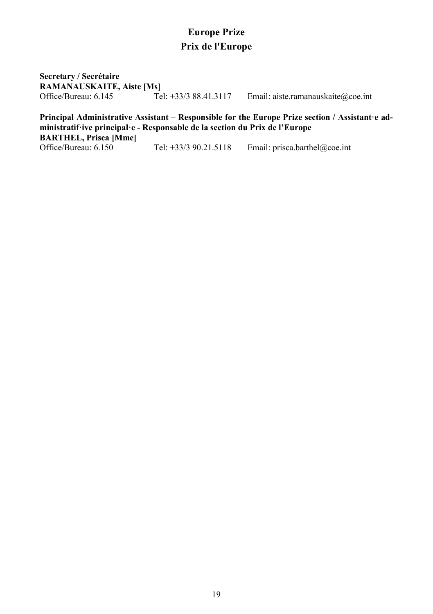#### Europe Prize Prix de l'Europe

Secretary / Secrétaire RAMANAUSKAITE, Aiste [Ms]<br>Office/Bureau: 6.145 Tel: +33/3 88.41.3117

Email: aiste.ramanauskaite@coe.int

# Principal Administrative Assistant – Responsible for the Europe Prize section / Assistant·e administratif·ive principal·e - Responsable de la section du Prix de l'Europe

BARTHEL, Prisca [Mme]<br>Office/Bureau: 6.150

Tel: +33/3 90.21.5118 Email: prisca.barthel@coe.int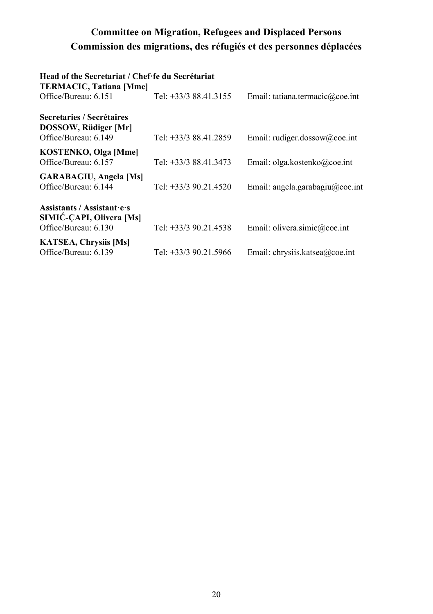# Committee on Migration, Refugees and Displaced Persons Commission des migrations, des réfugiés et des personnes déplacées

| Head of the Secretariat / Chef fe du Secrétariat                              |                         |                                 |
|-------------------------------------------------------------------------------|-------------------------|---------------------------------|
| <b>TERMACIC, Tatiana [Mme]</b>                                                |                         |                                 |
| Office/Bureau: 6.151                                                          | Tel: +33/3 88.41.3155   | Email: tatiana.termacic@coe.int |
| Secretaries / Secrétaires<br>DOSSOW, Rüdiger [Mr]<br>Office/Bureau: 6.149     | Tel: +33/3 88.41.2859   | Email: rudiger.dossow@coe.int   |
|                                                                               |                         |                                 |
| KOSTENKO, Olga [Mme]<br>Office/Bureau: 6.157                                  | Tel: +33/3 88.41.3473   | Email: olga.kostenko@coe.int    |
| <b>GARABAGIU, Angela [Ms]</b><br>Office/Bureau: 6.144                         | Tel: $+33/3$ 90.21.4520 | Email: angela.garabagiu@coe.int |
| Assistants / Assistant es<br>SIMIC-CAPI, Olivera [Ms]<br>Office/Bureau: 6.130 | Tel: $+33/3$ 90.21.4538 | Email: olivera.simic@coe.int    |
|                                                                               |                         |                                 |
| <b>KATSEA, Chrysiis [Ms]</b><br>Office/Bureau: 6.139                          | Tel: +33/3 90.21.5966   | Email: chrysiis.katsea@coe.int  |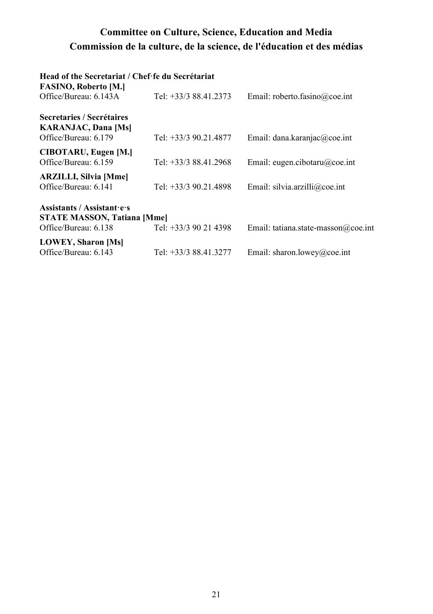#### Committee on Culture, Science, Education and Media Commission de la culture, de la science, de l'éducation et des médias

#### Head of the Secretariat / Chef·fe du Secrétariat

| Tel: +33/3 88.41.2373                                       | Email: roberto.fasino@coe.int       |
|-------------------------------------------------------------|-------------------------------------|
| Tel: +33/3 90.21.4877                                       | Email: dana.karanjac@coe.int        |
| Tel: +33/3 88.41.2968                                       | Email: eugen.cibotaru@coe.int       |
| Tel: +33/3 90.21.4898                                       | Email: silvia.arzilli@coe.int       |
| <b>STATE MASSON, Tatiana [Mme]</b><br>Tel: +33/3 90 21 4398 | Email: tatiana.state-masson@coe.int |
| Tel: +33/3 88.41.3277                                       | Email: sharon.lowey@coe.int         |
|                                                             |                                     |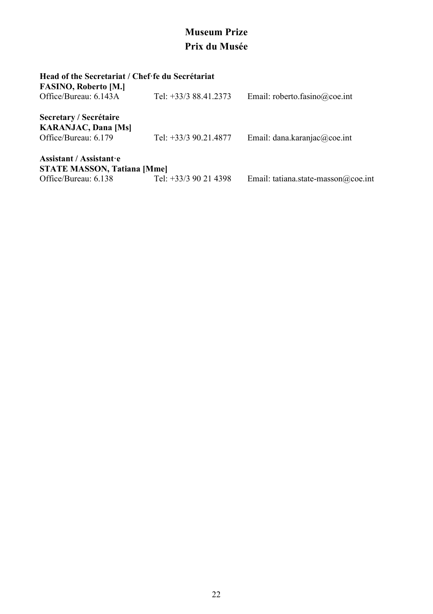# Museum Prize Prix du Musée

#### Head of the Secretariat / Chef·fe du Secrétariat

| <b>FASINO, Roberto [M.]</b><br>Office/Bureau: 6.143A                                  | Tel: $+33/388.41.2373$ | Email: roberto.fasino@coe.int       |
|---------------------------------------------------------------------------------------|------------------------|-------------------------------------|
| Secretary / Secrétaire<br><b>KARANJAC, Dana [Ms]</b><br>Office/Bureau: 6.179          | Tel: +33/3 90.21.4877  | Email: dana.karanjac@coe.int        |
| Assistant / Assistant e<br><b>STATE MASSON, Tatiana [Mme]</b><br>Office/Bureau: 6.138 | Tel: +33/3 90 21 4398  | Email: tatiana.state-masson@coe.int |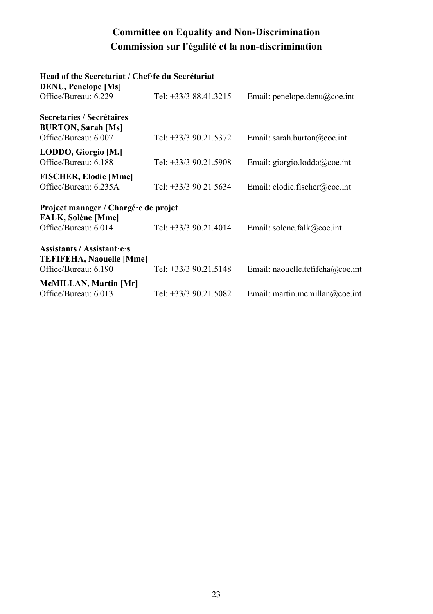# Committee on Equality and Non-Discrimination Commission sur l'égalité et la non-discrimination

#### Head of the Secretariat / Chef·fe du Secrétariat

| <b>DENU, Penelope [Ms]</b>                                                     |                         |                                  |
|--------------------------------------------------------------------------------|-------------------------|----------------------------------|
| Office/Bureau: 6.229                                                           | Tel: +33/3 88.41.3215   | Email: penelope.denu@coe.int     |
| Secretaries / Secrétaires<br><b>BURTON, Sarah [Ms]</b><br>Office/Bureau: 6.007 | Tel: +33/3 90.21.5372   | Email: sarah.burton@coe.int      |
| LODDO, Giorgio [M.]<br>Office/Bureau: 6.188                                    | Tel: $+33/3$ 90.21.5908 | Email: giorgio.loddo@coe.int     |
| <b>FISCHER, Elodie [Mme]</b><br>Office/Bureau: 6.235A                          | Tel: +33/3 90 21 5634   | Email: elodie.fischer@coe.int    |
| Project manager / Chargé e de projet<br><b>FALK, Solène [Mme]</b>              |                         |                                  |
| Office/Bureau: 6.014                                                           | Tel: $+33/3$ 90.21.4014 | Email: solene.falk@coe.int       |
| Assistants / Assistantiers<br>TEFIFEHA, Naouelle [Mme]<br>Office/Bureau: 6.190 | Tel: +33/3 90.21.5148   | Email: naouelle.tefifeha@coe.int |
| McMILLAN, Martin [Mr]<br>Office/Bureau: 6.013                                  | Tel: +33/3 90.21.5082   | Email: martin.mcmillan@coe.int   |
|                                                                                |                         |                                  |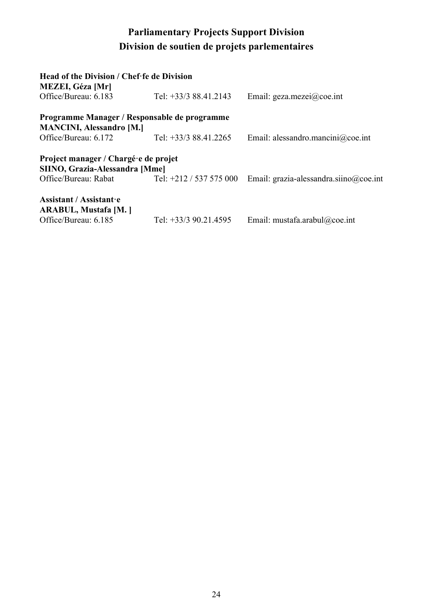# Parliamentary Projects Support Division Division de soutien de projets parlementaires

| Head of the Division / Chef fe de Division<br><b>MEZEI, Géza [Mr]</b>  |                         |                                        |
|------------------------------------------------------------------------|-------------------------|----------------------------------------|
| Office/Bureau: 6.183                                                   | Tel: $+33/388.41.2143$  | Email: geza.mezei@coe.int              |
| Programme Manager / Responsable de programme                           |                         |                                        |
| <b>MANCINI, Alessandro [M.]</b>                                        |                         |                                        |
| Office/Bureau: 6.172                                                   | Tel: +33/3 88.41.2265   | Email: alessandro.mancini@coe.int      |
| Project manager / Chargé e de projet<br>SIINO, Grazia-Alessandra [Mme] |                         |                                        |
| Office/Bureau: Rabat                                                   | Tel: +212 / 537 575 000 | Email: grazia-alessandra.siino@coe.int |
| Assistant / Assistant e<br>ARABUL, Mustafa [M. ]                       |                         |                                        |
| Office/Bureau: 6.185                                                   | Tel: +33/3 90.21.4595   | Email: mustafa.arabul@coe.int          |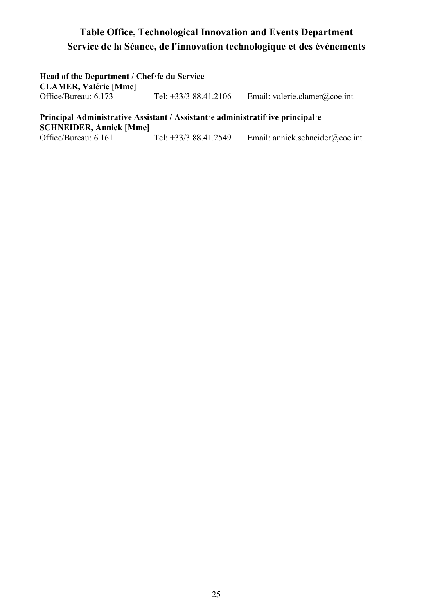#### Table Office, Technological Innovation and Events Department Service de la Séance, de l'innovation technologique et des événements

Head of the Department / Chef·fe du Service CLAMER, Valérie [Mme] Tel:  $+33/3$  88.41.2106 Email: valerie.clamer@coe.int

Principal Administrative Assistant / Assistant·e administratif·ive principal·e SCHNEIDER, Annick [Mme]<br>Office/Bureau: 6.161 Tel:  $+33/3$  88.41.2549 Email: annick.schneider@coe.int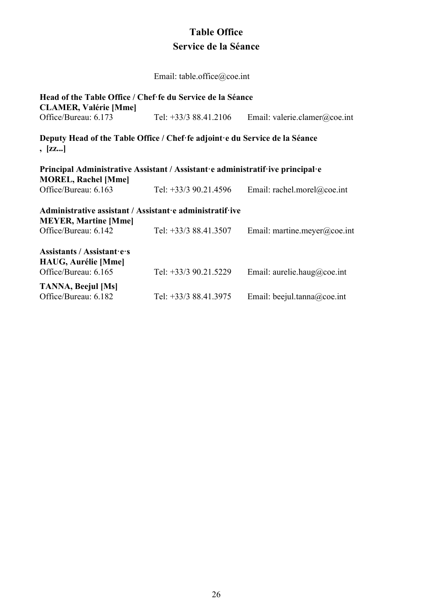#### Table Office Service de la Séance

Email: table.office@coe.int

| Head of the Table Office / Chef fe du Service de la Séance<br><b>CLAMER, Valérie [Mme]</b>                   |                        |                               |
|--------------------------------------------------------------------------------------------------------------|------------------------|-------------------------------|
| Office/Bureau: 6.173                                                                                         | Tel: $+33/388.41.2106$ | Email: valerie.clamer@coe.int |
| Deputy Head of the Table Office / Chef fe adjoint e du Service de la Séance<br>, [zz]                        |                        |                               |
| Principal Administrative Assistant / Assistant e administratif ive principal e<br><b>MOREL, Rachel [Mme]</b> |                        |                               |
| Office/Bureau: 6.163                                                                                         | Tel: +33/3 90.21.4596  | Email: rachel.morel@coe.int   |
| Administrative assistant / Assistant e administratif ive<br><b>MEYER, Martine [Mme]</b>                      |                        |                               |
| Office/Bureau: 6.142                                                                                         | Tel: +33/3 88.41.3507  | Email: martine.meyer@coe.int  |
| Assistants / Assistant es<br>HAUG, Aurélie [Mme]                                                             |                        |                               |
| Office/Bureau: 6.165                                                                                         | Tel: +33/3 90.21.5229  | Email: aurelie.haug@coe.int   |
| TANNA, Beejul [Ms]<br>Office/Bureau: 6.182                                                                   | Tel: +33/3 88.41.3975  | Email: beejul.tanna@coe.int   |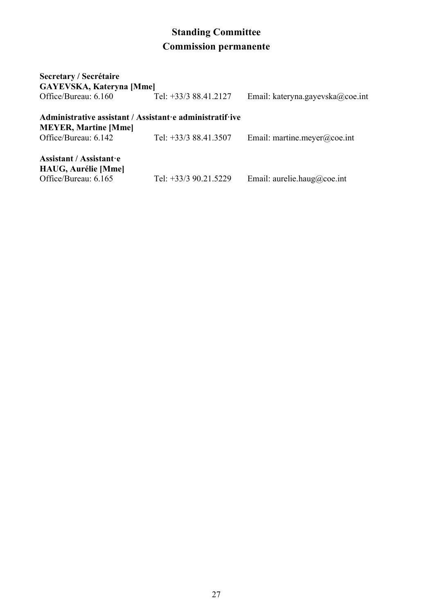# Standing Committee Commission permanente

| Secretary / Secrétaire<br><b>GAYEVSKA, Kateryna [Mme]</b>                                                       |                       |                                  |
|-----------------------------------------------------------------------------------------------------------------|-----------------------|----------------------------------|
| Office/Bureau: 6.160                                                                                            | Tel: +33/3 88.41.2127 | Email: kateryna.gayevska@coe.int |
| Administrative assistant / Assistant e administratif ive<br><b>MEYER, Martine [Mme]</b><br>Office/Bureau: 6.142 | Tel: +33/3 88.41.3507 | Email: martine.meyer@coe.int     |
| Assistant / Assistant e<br>HAUG, Aurélie [Mme]<br>Office/Bureau: 6.165                                          | Tel: +33/3 90.21.5229 | Email: aurelie.haug@coe.int      |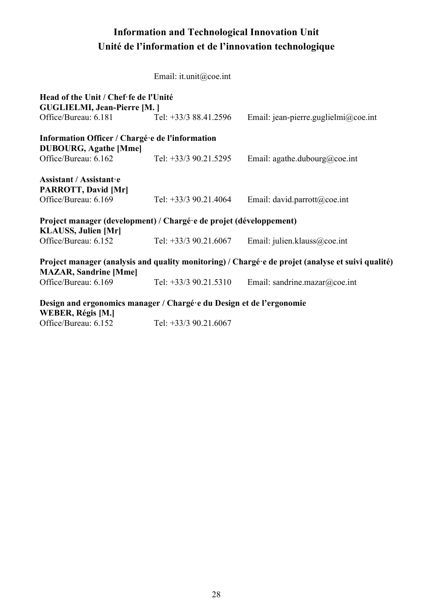# Information and Technological Innovation Unit Unité de l'information et de l'innovation technologique

Email: it.unit@coe.int

| Head of the Unit / Chef fe de l'Unité<br><b>GUGLIELMI, Jean-Pierre [M. ]</b>                                                      |                         |                                      |  |
|-----------------------------------------------------------------------------------------------------------------------------------|-------------------------|--------------------------------------|--|
| Office/Bureau: 6.181 Tel: +33/3 88.41.2596                                                                                        |                         | Email: jean-pierre.guglielmi@coe.int |  |
| Information Officer / Chargé e de l'information<br><b>DUBOURG, Agathe [Mme]</b><br>Office/Bureau: 6.162                           | Tel: +33/3 90.21.5295   | Email: agathe.dubourg@coe.int        |  |
|                                                                                                                                   |                         |                                      |  |
| Assistant / Assistant e<br>PARROTT, David [Mr]                                                                                    |                         |                                      |  |
| Office/Bureau: 6.169                                                                                                              | Tel: $+33/3$ 90.21.4064 | Email: david.parrott@coe.int         |  |
| Project manager (development) / Chargé e de projet (développement)<br>KLAUSS, Julien [Mr]                                         |                         |                                      |  |
| Office/Bureau: 6.152                                                                                                              | Tel: +33/3 90.21.6067   | Email: julien.klauss@coe.int         |  |
| Project manager (analysis and quality monitoring) / Chargé e de projet (analyse et suivi qualité)<br><b>MAZAR, Sandrine [Mme]</b> |                         |                                      |  |
| Office/Bureau: 6.169                                                                                                              | Tel: $+33/3$ 90.21.5310 | Email: sandrine.mazar@coe.int        |  |
| Design and ergonomics manager / Chargé e du Design et de l'ergonomie<br>WEBER, Régis [M.]                                         |                         |                                      |  |
| Office/Bureau: 6.152                                                                                                              | Tel: $+33/3$ 90.21.6067 |                                      |  |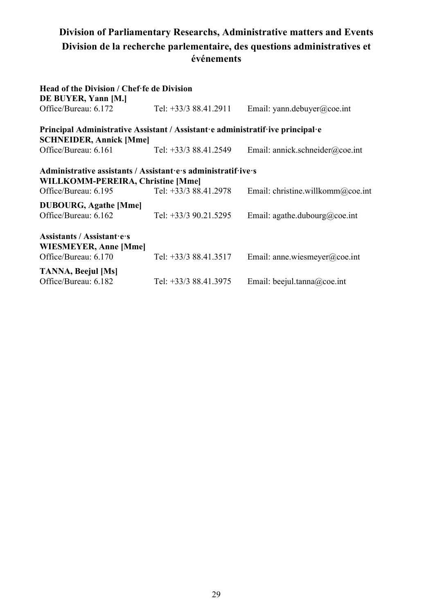#### Division of Parliamentary Researchs, Administrative matters and Events Division de la recherche parlementaire, des questions administratives et événements

| Head of the Division / Chef fe de Division                                                                                                                                             |                       |                                 |  |
|----------------------------------------------------------------------------------------------------------------------------------------------------------------------------------------|-----------------------|---------------------------------|--|
| DE BUYER, Yann [M.]<br>Office/Bureau: 6.172                                                                                                                                            | Tel: +33/3 88.41.2911 | Email: yann.debuyer@coe.int     |  |
| Principal Administrative Assistant / Assistant e administratif ive principal e<br><b>SCHNEIDER, Annick [Mme]</b>                                                                       |                       |                                 |  |
| Office/Bureau: 6.161                                                                                                                                                                   | Tel: +33/3 88.41.2549 | Email: annick.schneider@coe.int |  |
| Administrative assistants / Assistant es administratif ives<br>WILLKOMM-PEREIRA, Christine [Mme]<br>Office/Bureau: 6.195<br>Tel: +33/3 88.41.2978<br>Email: christine.willkomm@coe.int |                       |                                 |  |
| <b>DUBOURG, Agathe [Mme]</b><br>Office/Bureau: 6.162                                                                                                                                   | Tel: +33/3 90.21.5295 | Email: agathe.dubourg@coe.int   |  |
| Assistants / Assistant es<br>WIESMEYER, Anne [Mme]<br>Office/Bureau: 6.170                                                                                                             | Tel: +33/3 88.41.3517 | Email: anne.wiesmeyer@coe.int   |  |
| TANNA, Beejul [Ms]<br>Office/Bureau: 6.182                                                                                                                                             | Tel: +33/3 88.41.3975 | Email: beejul.tanna@coe.int     |  |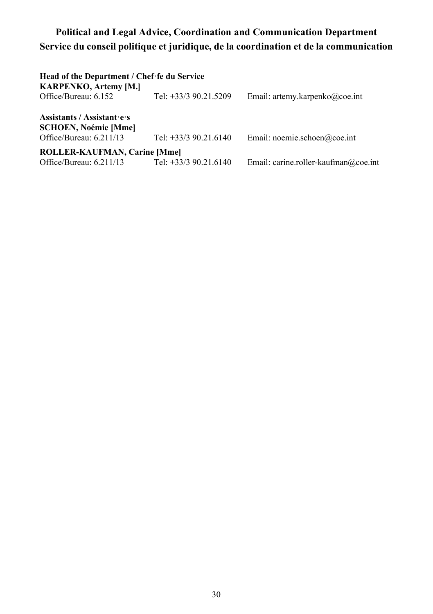### Political and Legal Advice, Coordination and Communication Department Service du conseil politique et juridique, de la coordination et de la communication

| Head of the Department / Chef fe du Service<br><b>KARPENKO, Artemy [M.]</b>         |                         |                                      |
|-------------------------------------------------------------------------------------|-------------------------|--------------------------------------|
| Office/Bureau: 6.152                                                                | Tel: +33/3 90.21.5209   | Email: artemy.karpenko@coe.int       |
| Assistants / Assistant es<br><b>SCHOEN, Noémie [Mme]</b><br>Office/Bureau: 6.211/13 | Tel: $+33/3$ 90.21.6140 | Email: noemie.schoen@coe.int         |
| ROLLER-KAUFMAN, Carine [Mme]<br>Office/Bureau: 6.211/13                             | Tel: $+33/3$ 90.21.6140 | Email: carine.roller-kaufman@coe.int |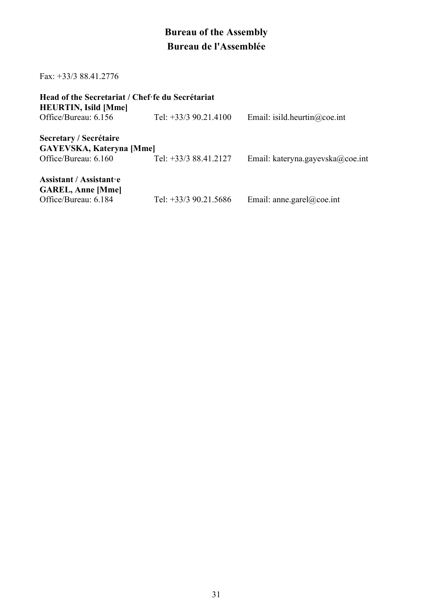# Bureau of the Assembly Bureau de l'Assemblée

Fax: +33/3 88.41.2776

| Head of the Secretariat / Chef fe du Secrétariat<br><b>HEURTIN, Isild [Mme]</b> |                         |                                  |
|---------------------------------------------------------------------------------|-------------------------|----------------------------------|
| Office/Bureau: 6.156                                                            | Tel: $+33/3$ 90.21.4100 | Email: isild.heurtin@coe.int     |
| Secretary / Secrétaire<br><b>GAYEVSKA, Kateryna [Mme]</b>                       |                         |                                  |
| Office/Bureau: 6.160                                                            | Tel: +33/3 88.41.2127   | Email: kateryna.gayevska@coe.int |
| Assistant / Assistant e<br><b>GAREL, Anne [Mme]</b>                             |                         |                                  |
| Office/Bureau: 6.184                                                            | Tel: $+33/3$ 90.21.5686 | Email: anne.garel@coe.int        |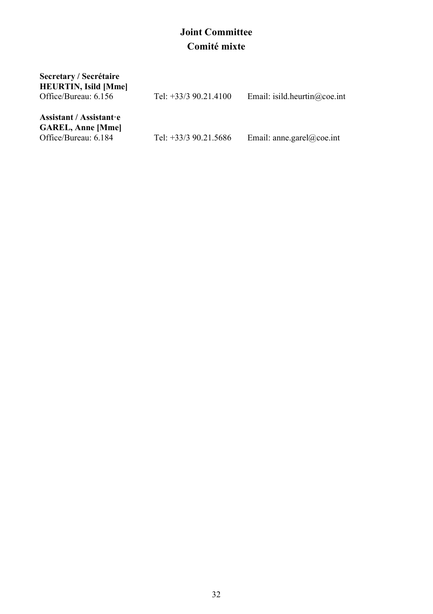### Joint Committee Comité mixte

| Secretary / Secrétaire<br><b>HEURTIN, Isild [Mme]</b>                       |                         |                              |
|-----------------------------------------------------------------------------|-------------------------|------------------------------|
| Office/Bureau: 6.156                                                        | Tel: $+33/3$ 90.21.4100 | Email: isild.heurtin@coe.int |
| Assistant / Assistant e<br><b>GAREL, Anne [Mme]</b><br>Office/Bureau: 6.184 | Tel: $+33/3$ 90.21.5686 | Email: anne.garel@coe.int    |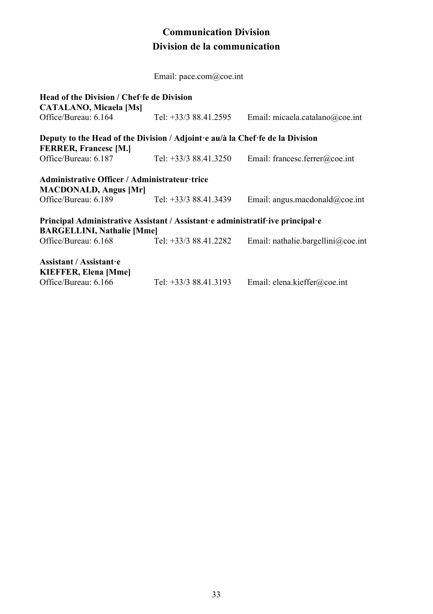#### Communication Division Division de la communication

Email: pace.com@coe.int

| Head of the Division / Chef fe de Division<br><b>CATALANO, Micaela [Ms]</b>                                   |                        |                                    |
|---------------------------------------------------------------------------------------------------------------|------------------------|------------------------------------|
| Office/Bureau: 6.164                                                                                          | Tel: +33/3 88.41.2595  | Email: micaela.catalano@coe.int    |
| Deputy to the Head of the Division / Adjoint e au/à la Chef fe de la Division<br><b>FERRER, Francesc [M.]</b> |                        |                                    |
| Office/Bureau: 6.187                                                                                          | Tel: $+33/388.41.3250$ | Email: francesc.ferrer@coe.int     |
| Administrative Officer / Administrateur trice                                                                 |                        |                                    |
| <b>MACDONALD, Angus [Mr]</b>                                                                                  |                        |                                    |
| Office/Bureau: 6.189                                                                                          | Tel: $+33/388.41.3439$ | Email: angus.macdonald@coe.int     |
| Principal Administrative Assistant / Assistant e administratif ive principal e                                |                        |                                    |
| <b>BARGELLINI, Nathalie [Mme]</b>                                                                             |                        |                                    |
| Office/Bureau: 6.168                                                                                          | Tel: $+33/388.41.2282$ | Email: nathalie.bargellini@coe.int |
| Assistant / Assistant e                                                                                       |                        |                                    |
| <b>KIEFFER, Elena [Mme]</b>                                                                                   |                        |                                    |
| Office/Bureau: 6.166                                                                                          | Tel: +33/3 88.41.3193  | Email: elena.kieffer@coe.int       |